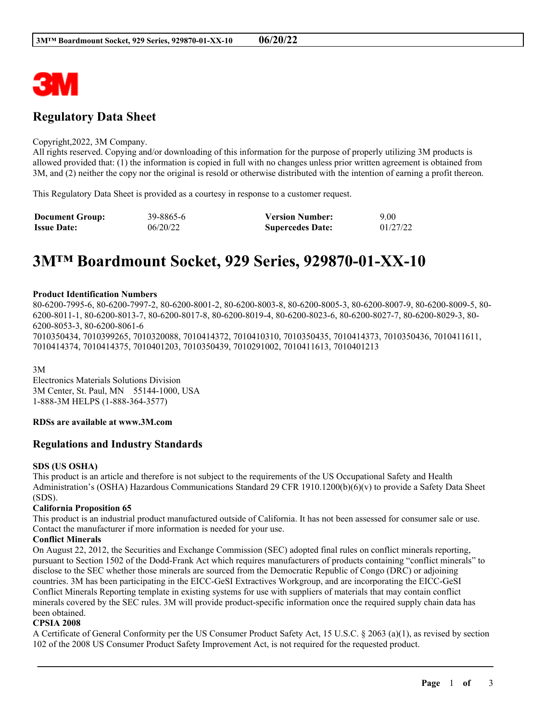

# **Regulatory Data Sheet**

#### Copyright,2022, 3M Company.

All rights reserved. Copying and/or downloading of this information for the purpose of properly utilizing 3M products is allowed provided that: (1) the information is copied in full with no changes unless prior written agreement is obtained from 3M, and (2) neither the copy nor the original is resold or otherwise distributed with the intention of earning a profit thereon.

This Regulatory Data Sheet is provided as a courtesy in response to a customer request.

| <b>Document Group:</b> | 39-8865-6 | <b>Version Number:</b>  | 9.00     |
|------------------------|-----------|-------------------------|----------|
| <b>Issue Date:</b>     | 06/20/22  | <b>Supercedes Date:</b> | 01/27/22 |

# **3M™ Boardmount Socket, 929 Series, 929870-01-XX-10**

#### **Product Identification Numbers**

80-6200-7995-6, 80-6200-7997-2, 80-6200-8001-2, 80-6200-8003-8, 80-6200-8005-3, 80-6200-8007-9, 80-6200-8009-5, 80- 6200-8011-1, 80-6200-8013-7, 80-6200-8017-8, 80-6200-8019-4, 80-6200-8023-6, 80-6200-8027-7, 80-6200-8029-3, 80- 6200-8053-3, 80-6200-8061-6 7010350434, 7010399265, 7010320088, 7010414372, 7010410310, 7010350435, 7010414373, 7010350436, 7010411611, 7010414374, 7010414375, 7010401203, 7010350439, 7010291002, 7010411613, 7010401213

3M

Electronics Materials Solutions Division 3M Center, St. Paul, MN 55144-1000, USA 1-888-3M HELPS (1-888-364-3577)

#### **RDSs are available at www.3M.com**

# **Regulations and Industry Standards**

#### **SDS (US OSHA)**

This product is an article and therefore is not subject to the requirements of the US Occupational Safety and Health Administration's (OSHA) Hazardous Communications Standard 29 CFR 1910.1200(b)(6)(v) to provide a Safety Data Sheet (SDS).

# **California Proposition 65**

This product is an industrial product manufactured outside of California. It has not been assessed for consumer sale or use. Contact the manufacturer if more information is needed for your use.

### **Conflict Minerals**

On August 22, 2012, the Securities and Exchange Commission (SEC) adopted final rules on conflict minerals reporting, pursuant to Section 1502 of the Dodd-Frank Act which requires manufacturers of products containing "conflict minerals" to disclose to the SEC whether those minerals are sourced from the Democratic Republic of Congo (DRC) or adjoining countries. 3M has been participating in the EICC-GeSI Extractives Workgroup, and are incorporating the EICC-GeSI Conflict Minerals Reporting template in existing systems for use with suppliers of materials that may contain conflict minerals covered by the SEC rules. 3M will provide product-specific information once the required supply chain data has been obtained.

# **CPSIA 2008**

A Certificate of General Conformity per the US Consumer Product Safety Act, 15 U.S.C. § 2063 (a)(1), as revised by section 102 of the 2008 US Consumer Product Safety Improvement Act, is not required for the requested product.

\_\_\_\_\_\_\_\_\_\_\_\_\_\_\_\_\_\_\_\_\_\_\_\_\_\_\_\_\_\_\_\_\_\_\_\_\_\_\_\_\_\_\_\_\_\_\_\_\_\_\_\_\_\_\_\_\_\_\_\_\_\_\_\_\_\_\_\_\_\_\_\_\_\_\_\_\_\_\_\_\_\_\_\_\_\_\_\_\_\_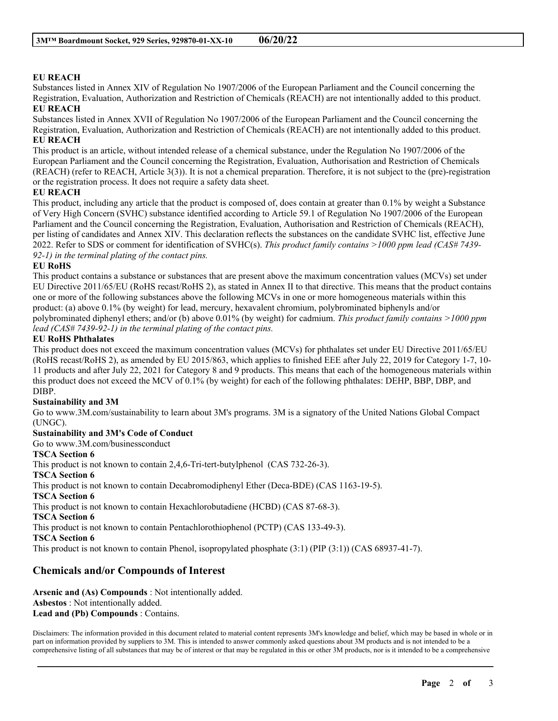# **EU REACH**

Substances listed in Annex XIV of Regulation No 1907/2006 of the European Parliament and the Council concerning the Registration, Evaluation, Authorization and Restriction of Chemicals (REACH) are not intentionally added to this product. **EU REACH**

Substances listed in Annex XVII of Regulation No 1907/2006 of the European Parliament and the Council concerning the Registration, Evaluation, Authorization and Restriction of Chemicals (REACH) are not intentionally added to this product. **EU REACH**

This product is an article, without intended release of a chemical substance, under the Regulation No 1907/2006 of the European Parliament and the Council concerning the Registration, Evaluation, Authorisation and Restriction of Chemicals (REACH) (refer to REACH, Article 3(3)). It is not a chemical preparation. Therefore, it is not subject to the (pre)-registration or the registration process. It does not require a safety data sheet.

# **EU REACH**

This product, including any article that the product is composed of, does contain at greater than 0.1% by weight a Substance of Very High Concern (SVHC) substance identified according to Article 59.1 of Regulation No 1907/2006 of the European Parliament and the Council concerning the Registration, Evaluation, Authorisation and Restriction of Chemicals (REACH), per listing of candidates and Annex XIV. This declaration reflects the substances on the candidate SVHC list, effective June 2022. Refer to SDS or comment for identification of SVHC(s). *This product family contains >1000 ppm lead (CAS# 7439- 92-1) in the terminal plating of the contact pins.*

# **EU RoHS**

This product contains a substance or substances that are present above the maximum concentration values (MCVs) set under EU Directive 2011/65/EU (RoHS recast/RoHS 2), as stated in Annex II to that directive. This means that the product contains one or more of the following substances above the following MCVs in one or more homogeneous materials within this product: (a) above 0.1% (by weight) for lead, mercury, hexavalent chromium, polybrominated biphenyls and/or polybrominated diphenyl ethers; and/or (b) above 0.01% (by weight) for cadmium. *This product family contains >1000 ppm lead (CAS# 7439-92-1) in the terminal plating of the contact pins.*

# **EU RoHS Phthalates**

This product does not exceed the maximum concentration values (MCVs) for phthalates set under EU Directive 2011/65/EU (RoHS recast/RoHS 2), as amended by EU 2015/863, which applies to finished EEE after July 22, 2019 for Category 1-7, 10- 11 products and after July 22, 2021 for Category 8 and 9 products. This means that each of the homogeneous materials within this product does not exceed the MCV of 0.1% (by weight) for each of the following phthalates: DEHP, BBP, DBP, and DIBP.

# **Sustainability and 3M**

Go to www.3M.com/sustainability to learn about 3M's programs. 3M is a signatory of the United Nations Global Compact (UNGC).

#### **Sustainability and 3M's Code of Conduct**

Go to www.3M.com/businessconduct

# **TSCA Section 6**

This product is not known to contain 2,4,6-Tri-tert-butylphenol (CAS 732-26-3).

# **TSCA Section 6**

This product is not known to contain Decabromodiphenyl Ether (Deca-BDE) (CAS 1163-19-5).

#### **TSCA Section 6**

This product is not known to contain Hexachlorobutadiene (HCBD) (CAS 87-68-3).

#### **TSCA Section 6**

This product is not known to contain Pentachlorothiophenol (PCTP) (CAS 133-49-3).

**TSCA Section 6**

This product is not known to contain Phenol, isopropylated phosphate (3:1) (PIP (3:1)) (CAS 68937-41-7).

# **Chemicals and/or Compounds of Interest**

**Arsenic and (As) Compounds** : Not intentionally added. **Asbestos** : Not intentionally added. **Lead and (Pb) Compounds** : Contains.

Disclaimers: The information provided in this document related to material content represents 3M's knowledge and belief, which may be based in whole or in part on information provided by suppliers to 3M. This is intended to answer commonly asked questions about 3M products and is not intended to be a comprehensive listing of all substances that may be of interest or that may be regulated in this or other 3M products, nor is it intended to be a comprehensive

\_\_\_\_\_\_\_\_\_\_\_\_\_\_\_\_\_\_\_\_\_\_\_\_\_\_\_\_\_\_\_\_\_\_\_\_\_\_\_\_\_\_\_\_\_\_\_\_\_\_\_\_\_\_\_\_\_\_\_\_\_\_\_\_\_\_\_\_\_\_\_\_\_\_\_\_\_\_\_\_\_\_\_\_\_\_\_\_\_\_